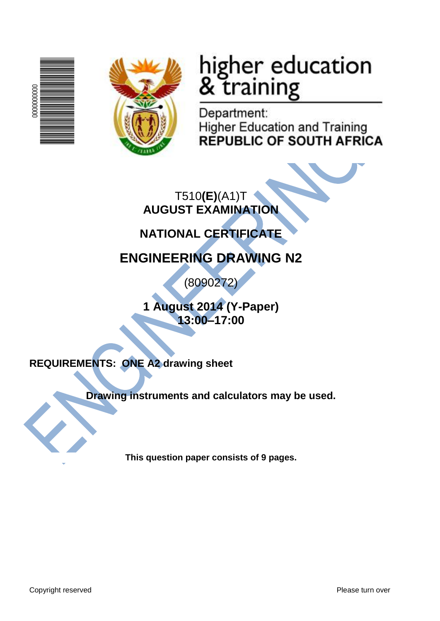



# higher education<br>& training

Department: **Higher Education and Training REPUBLIC OF SOUTH AFRICA** 

T510**(E)**(A1)T **AUGUST EXAMINATION**

**NATIONAL CERTIFICATE**

# **ENGINEERING DRAWING N2**

(8090272)

**1 August 2014 (Y-Paper) 13:00–17:00**

**REQUIREMENTS: ONE A2 drawing sheet**

**Drawing instruments and calculators may be used.**

**This question paper consists of 9 pages.**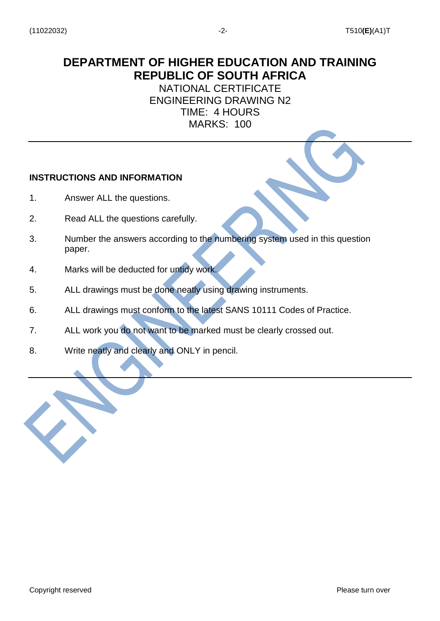## **DEPARTMENT OF HIGHER EDUCATION AND TRAINING REPUBLIC OF SOUTH AFRICA**

NATIONAL CERTIFICATE ENGINEERING DRAWING N2 TIME: 4 HOURS MARKS: 100

#### **INSTRUCTIONS AND INFORMATION**

- 1. Answer ALL the questions.
- 2. Read ALL the questions carefully.
- 3. Number the answers according to the numbering system used in this question paper.
- 4. Marks will be deducted for untidy work.
- 5. ALL drawings must be done neatly using drawing instruments.
- 6. ALL drawings must conform to the latest SANS 10111 Codes of Practice.
- 7. ALL work you do not want to be marked must be clearly crossed out.
- 8. Write neatly and clearly and ONLY in pencil.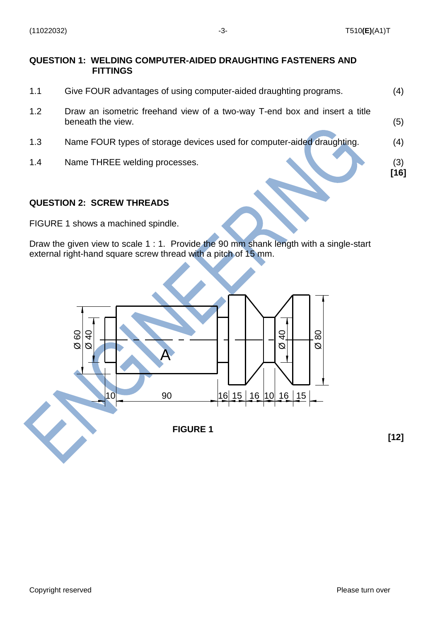**[16]**

**[12]**

#### **QUESTION 1: WELDING COMPUTER-AIDED DRAUGHTING FASTENERS AND FITTINGS**

- 1.1 Give FOUR advantages of using computer-aided draughting programs. (4)
- 1.2 Draw an isometric freehand view of a two-way T-end box and insert a title beneath the view. (5)
- 1.3 Name FOUR types of storage devices used for computer-aided draughting. (4)
- 1.4 Name THREE welding processes. (3)

#### **QUESTION 2: SCREW THREADS**

FIGURE 1 shows a machined spindle.

Draw the given view to scale 1 : 1. Provide the 90 mm shank length with a single-start external right-hand square screw thread with a pitch of 15 mm.

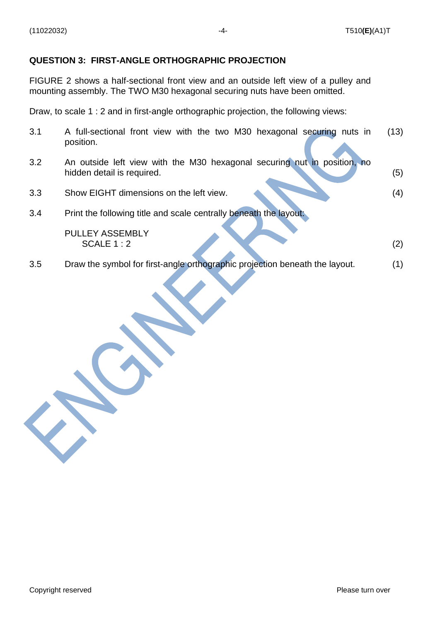### **QUESTION 3: FIRST-ANGLE ORTHOGRAPHIC PROJECTION**

FIGURE 2 shows a half-sectional front view and an outside left view of a pulley and mounting assembly. The TWO M30 hexagonal securing nuts have been omitted.

Draw, to scale 1 : 2 and in first-angle orthographic projection, the following views:

| 3.1 | A full-sectional front view with the two M30 hexagonal securing nuts in<br>position.                      | (13) |
|-----|-----------------------------------------------------------------------------------------------------------|------|
| 3.2 | An outside left view with the M30 hexagonal securing nut in<br>position, no<br>hidden detail is required. | (5)  |
| 3.3 | Show EIGHT dimensions on the left view.                                                                   | (4)  |
| 3.4 | Print the following title and scale centrally beneath the layout:                                         |      |
|     | <b>PULLEY ASSEMBLY</b><br>SCALE $1:2$                                                                     | (2)  |
| 3.5 | Draw the symbol for first-angle orthographic projection beneath the layout.                               | (1)  |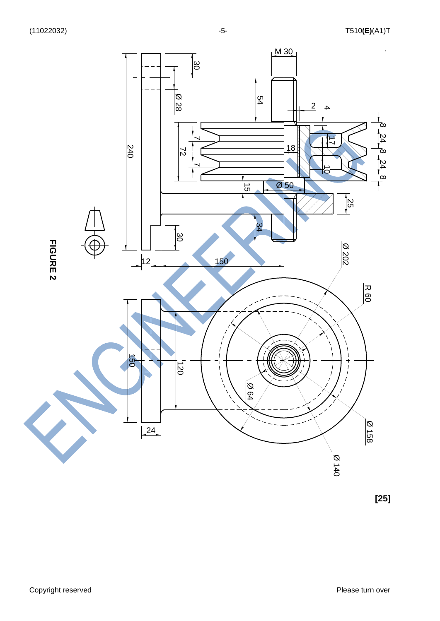

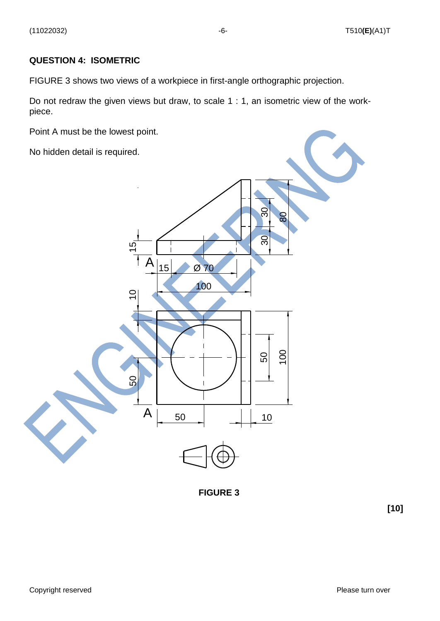#### **QUESTION 4: ISOMETRIC**

FIGURE 3 shows two views of a workpiece in first-angle orthographic projection.

Do not redraw the given views but draw, to scale 1 : 1, an isometric view of the workpiece.

Point A must be the lowest point.

No hidden detail is required.



**FIGURE 3**

**[10]**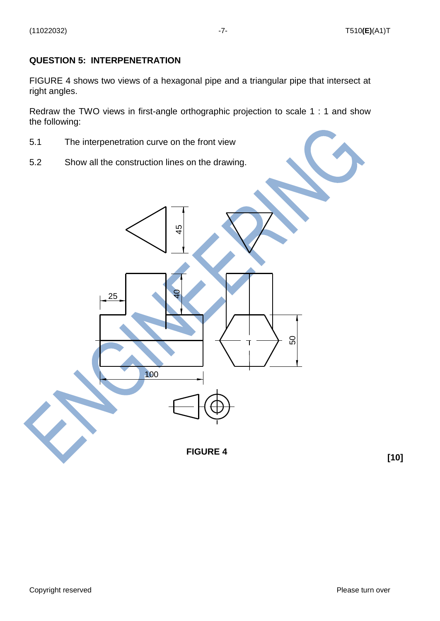#### **QUESTION 5: INTERPENETRATION**

FIGURE 4 shows two views of a hexagonal pipe and a triangular pipe that intersect at right angles.

Redraw the TWO views in first-angle orthographic projection to scale 1 : 1 and show the following:

- 5.1 The interpenetration curve on the front view
- 5.2 Show all the construction lines on the drawing.



**[10]**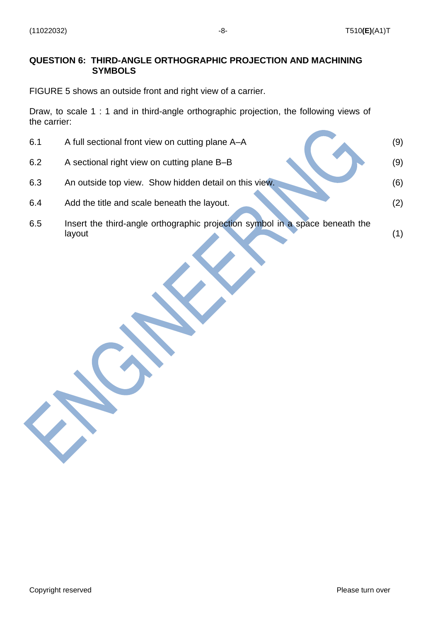#### **QUESTION 6: THIRD-ANGLE ORTHOGRAPHIC PROJECTION AND MACHINING SYMBOLS**

FIGURE 5 shows an outside front and right view of a carrier.

Draw, to scale 1 : 1 and in third-angle orthographic projection, the following views of the carrier:

| 6.1 | A full sectional front view on cutting plane A–A                                       | (9) |
|-----|----------------------------------------------------------------------------------------|-----|
| 6.2 | A sectional right view on cutting plane B-B                                            | (9) |
| 6.3 | An outside top view. Show hidden detail on this view.                                  | (6) |
| 6.4 | Add the title and scale beneath the layout.                                            | (2) |
| 6.5 | Insert the third-angle orthographic projection symbol in a space beneath the<br>layout | (1) |